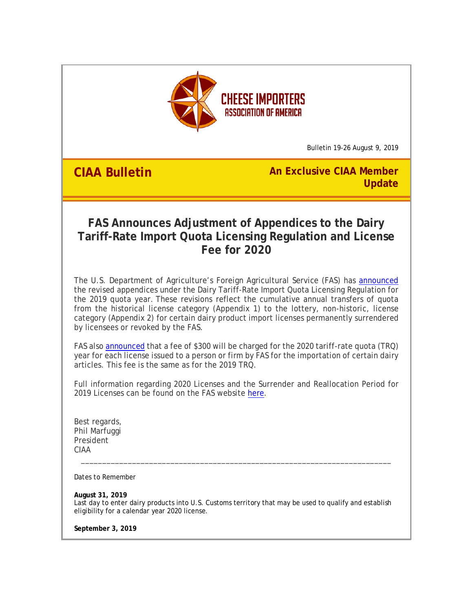

Bulletin 19-26 August 9, 2019

**CIAA Bulletin An Exclusive CIAA Member Update**

## **FAS Announces Adjustment of Appendices to the Dairy Tariff-Rate Import Quota Licensing Regulation and License Fee for 2020**

The U.S. Department of Agriculture's Foreign Agricultural Service (FAS) has [announced](http://r20.rs6.net/tn.jsp?f=001cEZqcZ-FEivhNOSZJ-akSyY_rrLerDQIerVPrLe3g25hCG70vELId-J5X3R4HPIpE4vqLkw1kBIqaq_JS-mB-xDBJodYnRssmf0QOeDOFE9Bds-Yc7HrS1AZg4Gym5PpMsyhRUom4ysUgftojrb-X_zJa8HcQuQy2AZQ7qFp0ketd_2qhp6gbJAkbZWI1mL3XPvA_-4h9WOFPE06bMvz0g==&c=My2zGb5m1fgPMcBafLJ9-l0sl0wNHmOOhTmE5Q8XBjb-4NInIS8LCg==&ch=IwX4laRbkqVgYDkUjMGAyJOW8BG8ps6mTiUnbe8fPxMFrkR83ui5TA==) the revised appendices under the Dairy Tariff-Rate Import Quota Licensing Regulation for the 2019 quota year. These revisions reflect the cumulative annual transfers of quota from the historical license category (Appendix 1) to the lottery, non-historic, license category (Appendix 2) for certain dairy product import licenses permanently surrendered by licensees or revoked by the FAS.

FAS als[o announced](http://r20.rs6.net/tn.jsp?f=001cEZqcZ-FEivhNOSZJ-akSyY_rrLerDQIerVPrLe3g25hCG70vELId-J5X3R4HPIpqXQzyGHNIN3YuZUrC_vpOhvLsfsA5T4wrncn8yKTZBCiOFz_P0TlM-nenXNGTBpMXdxWhGsoM6nxUjsFDDDWYh6W6Dh63Nd4NKRCK9CBhIJg4DxF6VJ-aGs62uXYsFtjFb9IW8PXxrCUCGaIpb-89w==&c=My2zGb5m1fgPMcBafLJ9-l0sl0wNHmOOhTmE5Q8XBjb-4NInIS8LCg==&ch=IwX4laRbkqVgYDkUjMGAyJOW8BG8ps6mTiUnbe8fPxMFrkR83ui5TA==) that a fee of \$300 will be charged for the 2020 tariff-rate quota (TRQ) year for each license issued to a person or firm by FAS for the importation of certain dairy articles. This fee is the same as for the 2019 TRQ.

Full information regarding 2020 Licenses and the Surrender and Reallocation Period for 2019 Licenses can be found on the FAS website [here.](http://r20.rs6.net/tn.jsp?f=001cEZqcZ-FEivhNOSZJ-akSyY_rrLerDQIerVPrLe3g25hCG70vELId-J5X3R4HPIpF67SjykPcDBNg8e0JBNwjdYSlbkspZ1thvEY3JSkAceURXdDlGDmwFO5-NjpxylDUOdzmsB1I8uCQ0LxnH6xaw1k6ifITHq0QLfe_YB6Y5Vxd8dIS2HUH0aBR651m1ATmlRaRqj7OAscOyeZLMMXugkEcRgUXkxEL1EdyWjWse89WMuqdezrG3CND7qXhfB2&c=My2zGb5m1fgPMcBafLJ9-l0sl0wNHmOOhTmE5Q8XBjb-4NInIS8LCg==&ch=IwX4laRbkqVgYDkUjMGAyJOW8BG8ps6mTiUnbe8fPxMFrkR83ui5TA==)

Best regards, Phil Marfuggi President CIAA

*Dates to Remember*

**August 31, 2019** Last day to enter dairy products into U.S. Customs territory that may be used to qualify and establish eligibility for a calendar year 2020 license.

\_\_\_\_\_\_\_\_\_\_\_\_\_\_\_\_\_\_\_\_\_\_\_\_\_\_\_\_\_\_\_\_\_\_\_\_\_\_\_\_\_\_\_\_\_\_\_\_\_\_\_\_\_\_\_\_\_\_\_\_\_\_\_\_\_\_\_\_\_\_\_\_\_

**September 3, 2019**